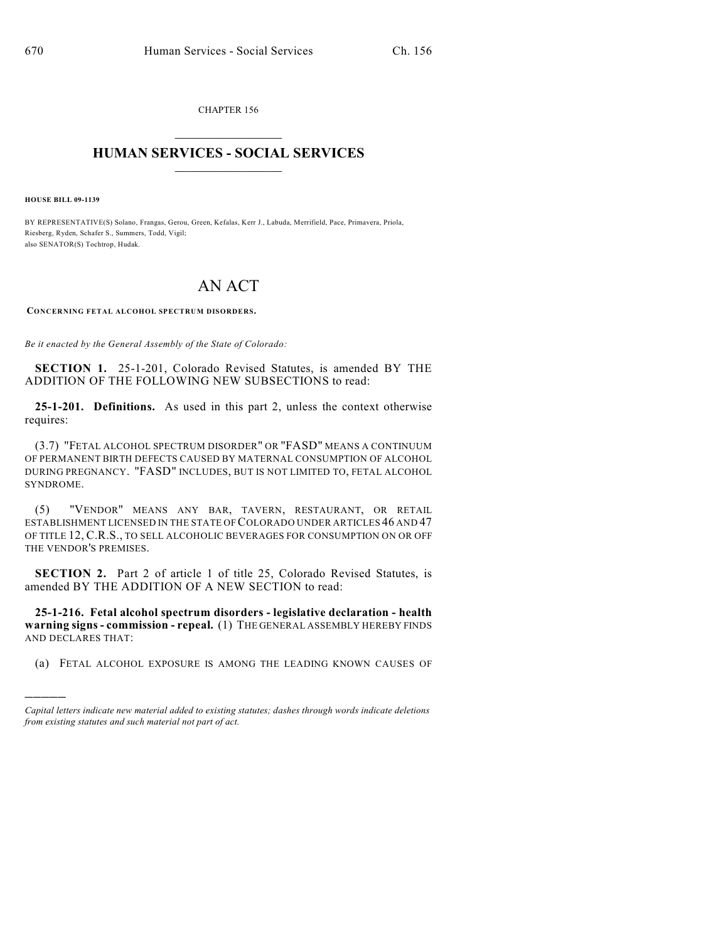CHAPTER 156  $\overline{\phantom{a}}$  . The set of the set of the set of the set of the set of the set of the set of the set of the set of the set of the set of the set of the set of the set of the set of the set of the set of the set of the set o

## **HUMAN SERVICES - SOCIAL SERVICES**  $\frac{1}{2}$  ,  $\frac{1}{2}$  ,  $\frac{1}{2}$  ,  $\frac{1}{2}$  ,  $\frac{1}{2}$  ,  $\frac{1}{2}$  ,  $\frac{1}{2}$

**HOUSE BILL 09-1139**

)))))

BY REPRESENTATIVE(S) Solano, Frangas, Gerou, Green, Kefalas, Kerr J., Labuda, Merrifield, Pace, Primavera, Priola, Riesberg, Ryden, Schafer S., Summers, Todd, Vigil; also SENATOR(S) Tochtrop, Hudak.

## AN ACT

**CONCERNING FETAL ALCOHOL SPECTRUM DISORDERS.**

*Be it enacted by the General Assembly of the State of Colorado:*

**SECTION 1.** 25-1-201, Colorado Revised Statutes, is amended BY THE ADDITION OF THE FOLLOWING NEW SUBSECTIONS to read:

**25-1-201. Definitions.** As used in this part 2, unless the context otherwise requires:

(3.7) "FETAL ALCOHOL SPECTRUM DISORDER" OR "FASD" MEANS A CONTINUUM OF PERMANENT BIRTH DEFECTS CAUSED BY MATERNAL CONSUMPTION OF ALCOHOL DURING PREGNANCY. "FASD" INCLUDES, BUT IS NOT LIMITED TO, FETAL ALCOHOL SYNDROME.

(5) "VENDOR" MEANS ANY BAR, TAVERN, RESTAURANT, OR RETAIL ESTABLISHMENT LICENSED IN THE STATE OF COLORADO UNDER ARTICLES 46 AND 47 OF TITLE 12, C.R.S., TO SELL ALCOHOLIC BEVERAGES FOR CONSUMPTION ON OR OFF THE VENDOR'S PREMISES.

**SECTION 2.** Part 2 of article 1 of title 25, Colorado Revised Statutes, is amended BY THE ADDITION OF A NEW SECTION to read:

**25-1-216. Fetal alcohol spectrum disorders - legislative declaration - health warning signs - commission - repeal.** (1) THE GENERAL ASSEMBLY HEREBY FINDS AND DECLARES THAT:

(a) FETAL ALCOHOL EXPOSURE IS AMONG THE LEADING KNOWN CAUSES OF

*Capital letters indicate new material added to existing statutes; dashes through words indicate deletions from existing statutes and such material not part of act.*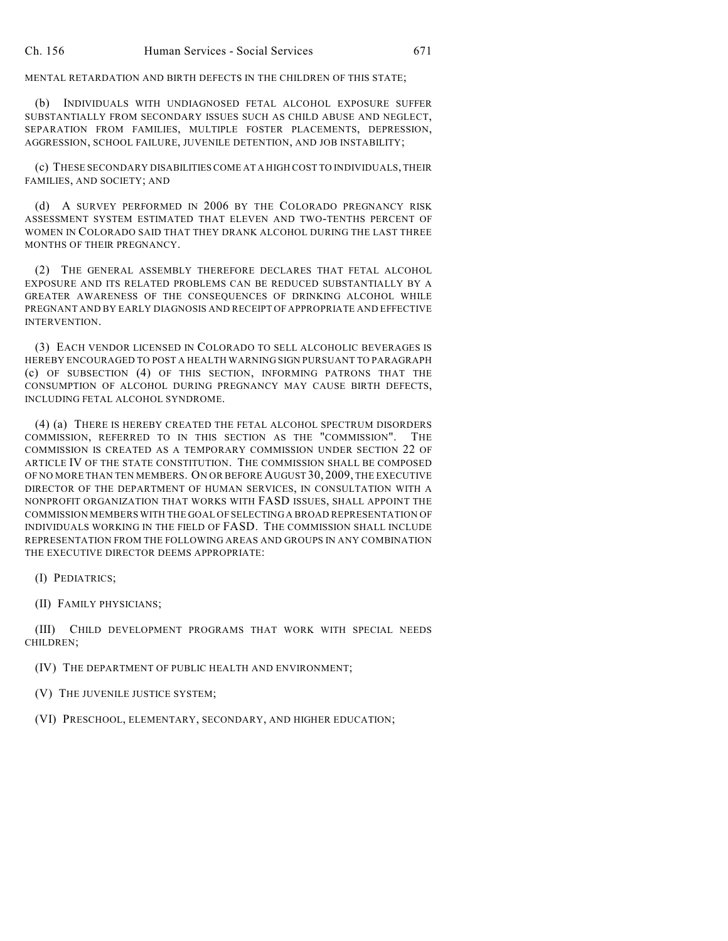MENTAL RETARDATION AND BIRTH DEFECTS IN THE CHILDREN OF THIS STATE;

(b) INDIVIDUALS WITH UNDIAGNOSED FETAL ALCOHOL EXPOSURE SUFFER SUBSTANTIALLY FROM SECONDARY ISSUES SUCH AS CHILD ABUSE AND NEGLECT, SEPARATION FROM FAMILIES, MULTIPLE FOSTER PLACEMENTS, DEPRESSION, AGGRESSION, SCHOOL FAILURE, JUVENILE DETENTION, AND JOB INSTABILITY;

(c) THESE SECONDARY DISABILITIES COME AT A HIGH COST TO INDIVIDUALS, THEIR FAMILIES, AND SOCIETY; AND

(d) A SURVEY PERFORMED IN 2006 BY THE COLORADO PREGNANCY RISK ASSESSMENT SYSTEM ESTIMATED THAT ELEVEN AND TWO-TENTHS PERCENT OF WOMEN IN COLORADO SAID THAT THEY DRANK ALCOHOL DURING THE LAST THREE MONTHS OF THEIR PREGNANCY.

(2) THE GENERAL ASSEMBLY THEREFORE DECLARES THAT FETAL ALCOHOL EXPOSURE AND ITS RELATED PROBLEMS CAN BE REDUCED SUBSTANTIALLY BY A GREATER AWARENESS OF THE CONSEQUENCES OF DRINKING ALCOHOL WHILE PREGNANT AND BY EARLY DIAGNOSIS AND RECEIPT OF APPROPRIATE AND EFFECTIVE INTERVENTION.

(3) EACH VENDOR LICENSED IN COLORADO TO SELL ALCOHOLIC BEVERAGES IS HEREBY ENCOURAGED TO POST A HEALTH WARNING SIGN PURSUANT TO PARAGRAPH (c) OF SUBSECTION (4) OF THIS SECTION, INFORMING PATRONS THAT THE CONSUMPTION OF ALCOHOL DURING PREGNANCY MAY CAUSE BIRTH DEFECTS, INCLUDING FETAL ALCOHOL SYNDROME.

(4) (a) THERE IS HEREBY CREATED THE FETAL ALCOHOL SPECTRUM DISORDERS COMMISSION, REFERRED TO IN THIS SECTION AS THE "COMMISSION". THE COMMISSION IS CREATED AS A TEMPORARY COMMISSION UNDER SECTION 22 OF ARTICLE IV OF THE STATE CONSTITUTION. THE COMMISSION SHALL BE COMPOSED OF NO MORE THAN TEN MEMBERS. ON OR BEFORE AUGUST 30, 2009, THE EXECUTIVE DIRECTOR OF THE DEPARTMENT OF HUMAN SERVICES, IN CONSULTATION WITH A NONPROFIT ORGANIZATION THAT WORKS WITH FASD ISSUES, SHALL APPOINT THE COMMISSION MEMBERS WITH THE GOAL OF SELECTING A BROAD REPRESENTATION OF INDIVIDUALS WORKING IN THE FIELD OF FASD. THE COMMISSION SHALL INCLUDE REPRESENTATION FROM THE FOLLOWING AREAS AND GROUPS IN ANY COMBINATION THE EXECUTIVE DIRECTOR DEEMS APPROPRIATE:

(I) PEDIATRICS;

(II) FAMILY PHYSICIANS;

(III) CHILD DEVELOPMENT PROGRAMS THAT WORK WITH SPECIAL NEEDS CHILDREN;

(IV) THE DEPARTMENT OF PUBLIC HEALTH AND ENVIRONMENT;

(V) THE JUVENILE JUSTICE SYSTEM;

(VI) PRESCHOOL, ELEMENTARY, SECONDARY, AND HIGHER EDUCATION;